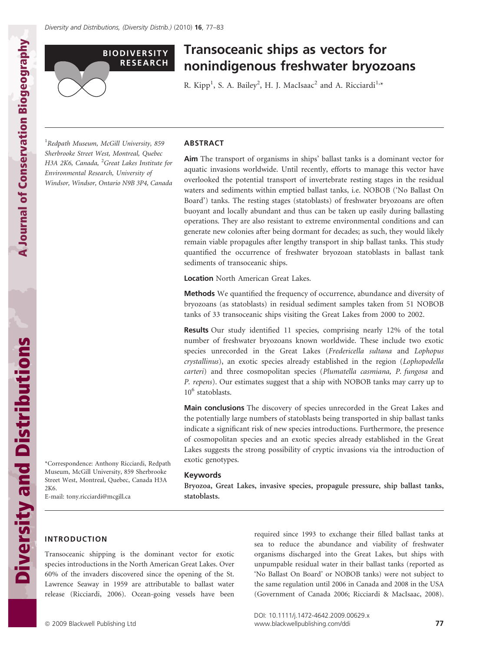

# Transoceanic ships as vectors for nonindigenous freshwater bryozoans

R. Kipp<sup>1</sup>, S. A. Bailey<sup>2</sup>, H. J. MacIsaac<sup>2</sup> and A. Ricciardi<sup>1,\*</sup>

<sup>1</sup> Redpath Museum, McGill University, 859 Sherbrooke Street West, Montreal, Quebec H3A 2K6, Canada, <sup>2</sup>Great Lakes Institute for Environmental Research, University of Windsor, Windsor, Ontario N9B 3P4, Canada

### ABSTRACT

Aim The transport of organisms in ships' ballast tanks is a dominant vector for aquatic invasions worldwide. Until recently, efforts to manage this vector have overlooked the potential transport of invertebrate resting stages in the residual waters and sediments within emptied ballast tanks, i.e. NOBOB ('No Ballast On Board') tanks. The resting stages (statoblasts) of freshwater bryozoans are often buoyant and locally abundant and thus can be taken up easily during ballasting operations. They are also resistant to extreme environmental conditions and can generate new colonies after being dormant for decades; as such, they would likely remain viable propagules after lengthy transport in ship ballast tanks. This study quantified the occurrence of freshwater bryozoan statoblasts in ballast tank sediments of transoceanic ships.

Location North American Great Lakes.

Methods We quantified the frequency of occurrence, abundance and diversity of bryozoans (as statoblasts) in residual sediment samples taken from 51 NOBOB tanks of 33 transoceanic ships visiting the Great Lakes from 2000 to 2002.

Results Our study identified 11 species, comprising nearly 12% of the total number of freshwater bryozoans known worldwide. These include two exotic species unrecorded in the Great Lakes (Fredericella sultana and Lophopus crystallinus), an exotic species already established in the region (Lophopodella carteri) and three cosmopolitan species (Plumatella casmiana, P. fungosa and P. repens). Our estimates suggest that a ship with NOBOB tanks may carry up to 10<sup>6</sup> statoblasts.

Main conclusions The discovery of species unrecorded in the Great Lakes and the potentially large numbers of statoblasts being transported in ship ballast tanks indicate a significant risk of new species introductions. Furthermore, the presence of cosmopolitan species and an exotic species already established in the Great Lakes suggests the strong possibility of cryptic invasions via the introduction of exotic genotypes.

#### Keywords

Bryozoa, Great Lakes, invasive species, propagule pressure, ship ballast tanks, statoblasts.

**Diversity and Distributions** Diversity and Distributions\*Correspondence: Anthony Ricciardi, Redpath Museum, McGill University, 859 Sherbrooke Street West, Montreal, Quebec, Canada H3A 2K6. E-mail: tony.ricciardi@mcgill.ca

## INTRODUCTION

Transoceanic shipping is the dominant vector for exotic species introductions in the North American Great Lakes. Over 60% of the invaders discovered since the opening of the St. Lawrence Seaway in 1959 are attributable to ballast water release (Ricciardi, 2006). Ocean-going vessels have been required since 1993 to exchange their filled ballast tanks at sea to reduce the abundance and viability of freshwater organisms discharged into the Great Lakes, but ships with unpumpable residual water in their ballast tanks (reported as 'No Ballast On Board' or NOBOB tanks) were not subject to the same regulation until 2006 in Canada and 2008 in the USA (Government of Canada 2006; Ricciardi & MacIsaac, 2008).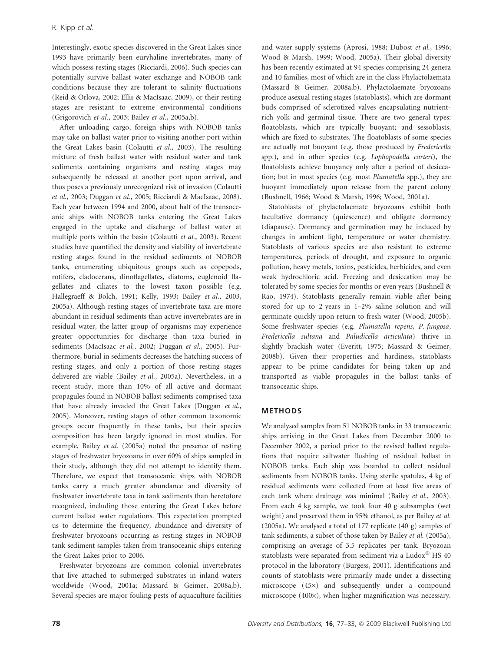Interestingly, exotic species discovered in the Great Lakes since 1993 have primarily been euryhaline invertebrates, many of which possess resting stages (Ricciardi, 2006). Such species can potentially survive ballast water exchange and NOBOB tank conditions because they are tolerant to salinity fluctuations (Reid & Orlova, 2002; Ellis & MacIsaac, 2009), or their resting stages are resistant to extreme environmental conditions (Grigorovich et al., 2003; Bailey et al., 2005a,b).

After unloading cargo, foreign ships with NOBOB tanks may take on ballast water prior to visiting another port within the Great Lakes basin (Colautti et al., 2003). The resulting mixture of fresh ballast water with residual water and tank sediments containing organisms and resting stages may subsequently be released at another port upon arrival, and thus poses a previously unrecognized risk of invasion (Colautti et al., 2003; Duggan et al., 2005; Ricciardi & MacIsaac, 2008). Each year between 1994 and 2000, about half of the transoceanic ships with NOBOB tanks entering the Great Lakes engaged in the uptake and discharge of ballast water at multiple ports within the basin (Colautti et al., 2003). Recent studies have quantified the density and viability of invertebrate resting stages found in the residual sediments of NOBOB tanks, enumerating ubiquitous groups such as copepods, rotifers, cladocerans, dinoflagellates, diatoms, euglenoid flagellates and ciliates to the lowest taxon possible (e.g. Hallegraeff & Bolch, 1991; Kelly, 1993; Bailey et al., 2003, 2005a). Although resting stages of invertebrate taxa are more abundant in residual sediments than active invertebrates are in residual water, the latter group of organisms may experience greater opportunities for discharge than taxa buried in sediments (MacIsaac et al., 2002; Duggan et al., 2005). Furthermore, burial in sediments decreases the hatching success of resting stages, and only a portion of those resting stages delivered are viable (Bailey et al., 2005a). Nevertheless, in a recent study, more than 10% of all active and dormant propagules found in NOBOB ballast sediments comprised taxa that have already invaded the Great Lakes (Duggan et al., 2005). Moreover, resting stages of other common taxonomic groups occur frequently in these tanks, but their species composition has been largely ignored in most studies. For example, Bailey et al. (2005a) noted the presence of resting stages of freshwater bryozoans in over 60% of ships sampled in their study, although they did not attempt to identify them. Therefore, we expect that transoceanic ships with NOBOB tanks carry a much greater abundance and diversity of freshwater invertebrate taxa in tank sediments than heretofore recognized, including those entering the Great Lakes before current ballast water regulations. This expectation prompted us to determine the frequency, abundance and diversity of freshwater bryozoans occurring as resting stages in NOBOB tank sediment samples taken from transoceanic ships entering the Great Lakes prior to 2006.

Freshwater bryozoans are common colonial invertebrates that live attached to submerged substrates in inland waters worldwide (Wood, 2001a; Massard & Geimer, 2008a,b). Several species are major fouling pests of aquaculture facilities and water supply systems (Aprosi, 1988; Dubost et al., 1996; Wood & Marsh, 1999; Wood, 2005a). Their global diversity has been recently estimated at 94 species comprising 24 genera and 10 families, most of which are in the class Phylactolaemata (Massard & Geimer, 2008a,b). Phylactolaemate bryozoans produce asexual resting stages (statoblasts), which are dormant buds comprised of sclerotized valves encapsulating nutrientrich yolk and germinal tissue. There are two general types: floatoblasts, which are typically buoyant; and sessoblasts, which are fixed to substrates. The floatoblasts of some species are actually not buoyant (e.g. those produced by Fredericella spp.), and in other species (e.g. Lophopodella carteri), the floatoblasts achieve buoyancy only after a period of desiccation; but in most species (e.g. most Plumatella spp.), they are buoyant immediately upon release from the parent colony (Bushnell, 1966; Wood & Marsh, 1996; Wood, 2001a).

Statoblasts of phylactolaemate bryozoans exhibit both facultative dormancy (quiescence) and obligate dormancy (diapause). Dormancy and germination may be induced by changes in ambient light, temperature or water chemistry. Statoblasts of various species are also resistant to extreme temperatures, periods of drought, and exposure to organic pollution, heavy metals, toxins, pesticides, herbicides, and even weak hydrochloric acid. Freezing and desiccation may be tolerated by some species for months or even years (Bushnell & Rao, 1974). Statoblasts generally remain viable after being stored for up to 2 years in 1–2% saline solution and will germinate quickly upon return to fresh water (Wood, 2005b). Some freshwater species (e.g. Plumatella repens, P. fungosa, Fredericella sultana and Paludicella articulata) thrive in slightly brackish water (Everitt, 1975; Massard & Geimer, 2008b). Given their properties and hardiness, statoblasts appear to be prime candidates for being taken up and transported as viable propagules in the ballast tanks of transoceanic ships.

## METHODS

We analysed samples from 51 NOBOB tanks in 33 transoceanic ships arriving in the Great Lakes from December 2000 to December 2002, a period prior to the revised ballast regulations that require saltwater flushing of residual ballast in NOBOB tanks. Each ship was boarded to collect residual sediments from NOBOB tanks. Using sterile spatulas, 4 kg of residual sediments were collected from at least five areas of each tank where drainage was minimal (Bailey et al., 2003). From each 4 kg sample, we took four 40 g subsamples (wet weight) and preserved them in 95% ethanol, as per Bailey et al. (2005a). We analysed a total of 177 replicate (40 g) samples of tank sediments, a subset of those taken by Bailey et al. (2005a), comprising an average of 3.5 replicates per tank. Bryozoan statoblasts were separated from sediment via a Ludox® HS 40 protocol in the laboratory (Burgess, 2001). Identifications and counts of statoblasts were primarily made under a dissecting microscope (45×) and subsequently under a compound microscope  $(400\times)$ , when higher magnification was necessary.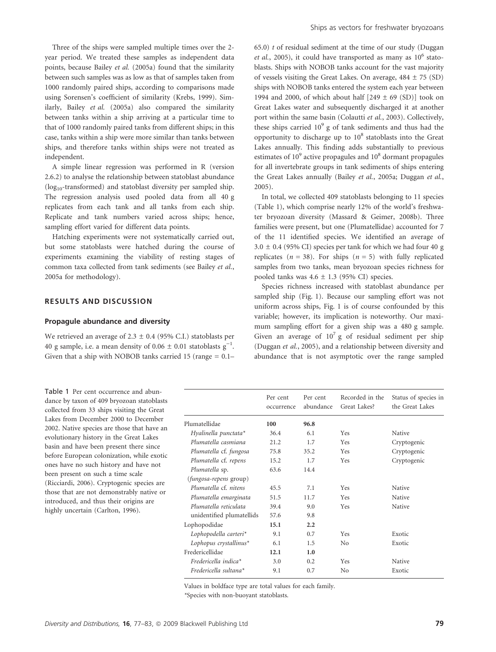Three of the ships were sampled multiple times over the 2 year period. We treated these samples as independent data points, because Bailey et al. (2005a) found that the similarity between such samples was as low as that of samples taken from 1000 randomly paired ships, according to comparisons made using Sorensen's coefficient of similarity (Krebs, 1999). Similarly, Bailey et al. (2005a) also compared the similarity between tanks within a ship arriving at a particular time to that of 1000 randomly paired tanks from different ships; in this case, tanks within a ship were more similar than tanks between ships, and therefore tanks within ships were not treated as independent.

A simple linear regression was performed in R (version 2.6.2) to analyse the relationship between statoblast abundance  $(log_{10}$ -transformed) and statoblast diversity per sampled ship. The regression analysis used pooled data from all 40 g replicates from each tank and all tanks from each ship. Replicate and tank numbers varied across ships; hence, sampling effort varied for different data points.

Hatching experiments were not systematically carried out, but some statoblasts were hatched during the course of experiments examining the viability of resting stages of common taxa collected from tank sediments (see Bailey et al., 2005a for methodology).

### RESULTS AND DISCUSSION

#### Propagule abundance and diversity

We retrieved an average of 2.3  $\pm$  0.4 (95% C.I.) statoblasts per 40 g sample, i.e. a mean density of  $0.06 \pm 0.01$  statoblasts g<sup>-1</sup>. Given that a ship with NOBOB tanks carried 15 (range  $= 0.1-$ 

Table 1 Per cent occurrence and abundance by taxon of 409 bryozoan statoblasts collected from 33 ships visiting the Great Lakes from December 2000 to December 2002. Native species are those that have an evolutionary history in the Great Lakes basin and have been present there since before European colonization, while exotic ones have no such history and have not been present on such a time scale (Ricciardi, 2006). Cryptogenic species are those that are not demonstrably native or introduced, and thus their origins are highly uncertain (Carlton, 1996).

 $(65.0)$  t of residual sediment at the time of our study (Duggan *et al.*, 2005), it could have transported as many as  $10^6$  statoblasts. Ships with NOBOB tanks account for the vast majority of vessels visiting the Great Lakes. On average,  $484 \pm 75$  (SD) ships with NOBOB tanks entered the system each year between 1994 and 2000, of which about half  $[249 \pm 69 \text{ (SD)}]$  took on Great Lakes water and subsequently discharged it at another port within the same basin (Colautti et al., 2003). Collectively, these ships carried  $10^9$  g of tank sediments and thus had the opportunity to discharge up to  $10^8$  statoblasts into the Great Lakes annually. This finding adds substantially to previous estimates of  $10<sup>9</sup>$  active propagules and  $10<sup>8</sup>$  dormant propagules for all invertebrate groups in tank sediments of ships entering the Great Lakes annually (Bailey et al., 2005a; Duggan et al., 2005).

In total, we collected 409 statoblasts belonging to 11 species (Table 1), which comprise nearly 12% of the world's freshwater bryozoan diversity (Massard & Geimer, 2008b). Three families were present, but one (Plumatellidae) accounted for 7 of the 11 identified species. We identified an average of  $3.0 \pm 0.4$  (95% CI) species per tank for which we had four 40 g replicates ( $n = 38$ ). For ships ( $n = 5$ ) with fully replicated samples from two tanks, mean bryozoan species richness for pooled tanks was  $4.6 \pm 1.3$  (95% CI) species.

Species richness increased with statoblast abundance per sampled ship (Fig. 1). Because our sampling effort was not uniform across ships, Fig. 1 is of course confounded by this variable; however, its implication is noteworthy. Our maximum sampling effort for a given ship was a 480 g sample. Given an average of  $10^7$  g of residual sediment per ship (Duggan et al., 2005), and a relationship between diversity and abundance that is not asymptotic over the range sampled

|                                  | Per cent<br>occurrence | Per cent<br>abundance | Recorded in the<br>Great Lakes? | Status of species in<br>the Great Lakes |
|----------------------------------|------------------------|-----------------------|---------------------------------|-----------------------------------------|
| Plumatellidae                    | 100                    | 96.8                  |                                 |                                         |
| Hyalinella punctata*             | 36.4                   | 6.1                   | <b>Yes</b>                      | Native                                  |
| Plumatella casmiana              | 21.2                   | 1.7                   | Yes                             | Cryptogenic                             |
| Plumatella cf. fungosa           | 75.8                   | 35.2                  | Yes                             | Cryptogenic                             |
| Plumatella cf. repens            | 15.2                   | 1.7                   | <b>Yes</b>                      | Cryptogenic                             |
| Plumatella sp.                   | 63.6                   | 14.4                  |                                 |                                         |
| <i>(fungosa-repens group)</i>    |                        |                       |                                 |                                         |
| Plumatella cf. nitens            | 45.5                   | 7.1                   | <b>Yes</b>                      | Native                                  |
| Plumatella emarginata            | 51.5                   | 11.7                  | <b>Yes</b>                      | Native                                  |
| Plumatella reticulata            | 39.4                   | 9.0                   | Yes                             | Native                                  |
| unidentified plumatellids        | 57.6                   | 9.8                   |                                 |                                         |
| Lophopodidae                     | 15.1                   | 2.2                   |                                 |                                         |
| Lophopodella carteri*            | 9.1                    | 0.7                   | <b>Yes</b>                      | Exotic                                  |
| Lophopus crystallinus*           | 6.1                    | 1.5                   | N <sub>o</sub>                  | Exotic                                  |
| Fredericellidae                  | 12.1                   | 1.0                   |                                 |                                         |
| Fredericella indica <sup>*</sup> | 3.0                    | 0.2                   | <b>Yes</b>                      | Native                                  |
| $Fredericella sultana*$          | 9.1                    | 0.7                   | No                              | Exotic                                  |
|                                  |                        |                       |                                 |                                         |

Values in boldface type are total values for each family. \*Species with non-buoyant statoblasts.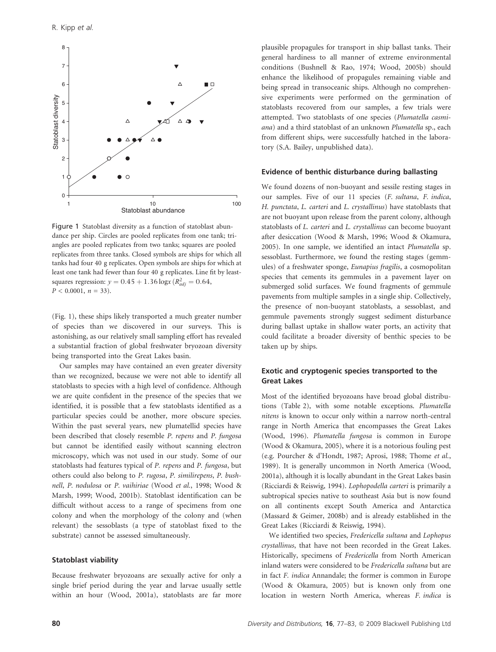

Figure 1 Statoblast diversity as a function of statoblast abundance per ship. Circles are pooled replicates from one tank; triangles are pooled replicates from two tanks; squares are pooled replicates from three tanks. Closed symbols are ships for which all tanks had four 40 g replicates. Open symbols are ships for which at least one tank had fewer than four 40 g replicates. Line fit by leastsquares regression:  $y = 0.45 + 1.36 \log x (R_{adj}^2 = 0.64,$  $P < 0.0001$ ,  $n = 33$ ).

(Fig. 1), these ships likely transported a much greater number of species than we discovered in our surveys. This is astonishing, as our relatively small sampling effort has revealed a substantial fraction of global freshwater bryozoan diversity being transported into the Great Lakes basin.

Our samples may have contained an even greater diversity than we recognized, because we were not able to identify all statoblasts to species with a high level of confidence. Although we are quite confident in the presence of the species that we identified, it is possible that a few statoblasts identified as a particular species could be another, more obscure species. Within the past several years, new plumatellid species have been described that closely resemble P. repens and P. fungosa but cannot be identified easily without scanning electron microscopy, which was not used in our study. Some of our statoblasts had features typical of P. repens and P. fungosa, but others could also belong to P. rugosa, P. similirepens, P. bushnell, P. nodulosa or P. vaihiriae (Wood et al., 1998; Wood & Marsh, 1999; Wood, 2001b). Statoblast identification can be difficult without access to a range of specimens from one colony and when the morphology of the colony and (when relevant) the sessoblasts (a type of statoblast fixed to the substrate) cannot be assessed simultaneously.

### Statoblast viability

Because freshwater bryozoans are sexually active for only a single brief period during the year and larvae usually settle within an hour (Wood, 2001a), statoblasts are far more plausible propagules for transport in ship ballast tanks. Their general hardiness to all manner of extreme environmental conditions (Bushnell & Rao, 1974; Wood, 2005b) should enhance the likelihood of propagules remaining viable and being spread in transoceanic ships. Although no comprehensive experiments were performed on the germination of statoblasts recovered from our samples, a few trials were attempted. Two statoblasts of one species (Plumatella casmiana) and a third statoblast of an unknown Plumatella sp., each from different ships, were successfully hatched in the laboratory (S.A. Bailey, unpublished data).

#### Evidence of benthic disturbance during ballasting

We found dozens of non-buoyant and sessile resting stages in our samples. Five of our 11 species (F. sultana, F. indica, H. punctata, L. carteri and L. crystallinus) have statoblasts that are not buoyant upon release from the parent colony, although statoblasts of L. carteri and L. crystallinus can become buoyant after desiccation (Wood & Marsh, 1996; Wood & Okamura, 2005). In one sample, we identified an intact Plumatella sp. sessoblast. Furthermore, we found the resting stages (gemmules) of a freshwater sponge, Eunapius fragilis, a cosmopolitan species that cements its gemmules in a pavement layer on submerged solid surfaces. We found fragments of gemmule pavements from multiple samples in a single ship. Collectively, the presence of non-buoyant statoblasts, a sessoblast, and gemmule pavements strongly suggest sediment disturbance during ballast uptake in shallow water ports, an activity that could facilitate a broader diversity of benthic species to be taken up by ships.

# Exotic and cryptogenic species transported to the Great Lakes

Most of the identified bryozoans have broad global distributions (Table 2), with some notable exceptions. Plumatella nitens is known to occur only within a narrow north-central range in North America that encompasses the Great Lakes (Wood, 1996). Plumatella fungosa is common in Europe (Wood & Okamura, 2005), where it is a notorious fouling pest (e.g. Pourcher & d'Hondt, 1987; Aprosi, 1988; Thome et al., 1989). It is generally uncommon in North America (Wood, 2001a), although it is locally abundant in the Great Lakes basin (Ricciardi & Reiswig, 1994). Lophopodella carteri is primarily a subtropical species native to southeast Asia but is now found on all continents except South America and Antarctica (Massard & Geimer, 2008b) and is already established in the Great Lakes (Ricciardi & Reiswig, 1994).

We identified two species, Fredericella sultana and Lophopus crystallinus, that have not been recorded in the Great Lakes. Historically, specimens of Fredericella from North American inland waters were considered to be Fredericella sultana but are in fact F. indica Annandale; the former is common in Europe (Wood & Okamura, 2005) but is known only from one location in western North America, whereas F. indica is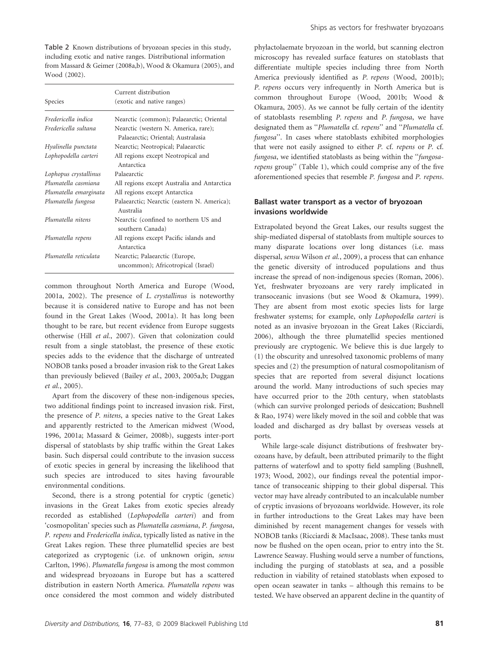Table 2 Known distributions of bryozoan species in this study, including exotic and native ranges. Distributional information from Massard & Geimer (2008a,b), Wood & Okamura (2005), and Wood (2002).

|                       | Current distribution                                                       |  |
|-----------------------|----------------------------------------------------------------------------|--|
| Species               | (exotic and native ranges)                                                 |  |
| Fredericella indica   | Nearctic (common); Palaearctic; Oriental                                   |  |
| Fredericella sultana  | Nearctic (western N. America, rare);<br>Palaearctic; Oriental; Australasia |  |
| Hyalinella punctata   | Nearctic; Neotropical; Palaearctic                                         |  |
| Lophopodella carteri  | All regions except Neotropical and<br>Antarctica                           |  |
| Lophopus crystallinus | Palaearctic                                                                |  |
| Plumatella casmiana   | All regions except Australia and Antarctica                                |  |
| Plumatella emarginata | All regions except Antarctica                                              |  |
| Plumatella fungosa    | Palaearctic; Nearctic (eastern N. America);<br>Australia                   |  |
| Plumatella nitens     | Nearctic (confined to northern US and<br>southern Canada)                  |  |
| Plumatella repens     | All regions except Pacific islands and<br>Antarctica                       |  |
| Plumatella reticulata | Nearctic; Palaearctic (Europe,<br>uncommon); Africotropical (Israel)       |  |

common throughout North America and Europe (Wood, 2001a, 2002). The presence of L. crystallinus is noteworthy because it is considered native to Europe and has not been found in the Great Lakes (Wood, 2001a). It has long been thought to be rare, but recent evidence from Europe suggests otherwise (Hill et al., 2007). Given that colonization could result from a single statoblast, the presence of these exotic species adds to the evidence that the discharge of untreated NOBOB tanks posed a broader invasion risk to the Great Lakes than previously believed (Bailey et al., 2003, 2005a,b; Duggan et al., 2005).

Apart from the discovery of these non-indigenous species, two additional findings point to increased invasion risk. First, the presence of P. nitens, a species native to the Great Lakes and apparently restricted to the American midwest (Wood, 1996, 2001a; Massard & Geimer, 2008b), suggests inter-port dispersal of statoblasts by ship traffic within the Great Lakes basin. Such dispersal could contribute to the invasion success of exotic species in general by increasing the likelihood that such species are introduced to sites having favourable environmental conditions.

Second, there is a strong potential for cryptic (genetic) invasions in the Great Lakes from exotic species already recorded as established (Lophopodella carteri) and from 'cosmopolitan' species such as Plumatella casmiana, P. fungosa, P. repens and Fredericella indica, typically listed as native in the Great Lakes region. These three plumatellid species are best categorized as cryptogenic (i.e. of unknown origin, sensu Carlton, 1996). Plumatella fungosa is among the most common and widespread bryozoans in Europe but has a scattered distribution in eastern North America. Plumatella repens was once considered the most common and widely distributed

phylactolaemate bryozoan in the world, but scanning electron microscopy has revealed surface features on statoblasts that differentiate multiple species including three from North America previously identified as P. repens (Wood, 2001b); P. repens occurs very infrequently in North America but is common throughout Europe (Wood, 2001b; Wood & Okamura, 2005). As we cannot be fully certain of the identity of statoblasts resembling P. repens and P. fungosa, we have designated them as ''Plumatella cf. repens'' and ''Plumatella cf. fungosa''. In cases where statoblasts exhibited morphologies that were not easily assigned to either P. cf. repens or P. cf. fungosa, we identified statoblasts as being within the "fungosarepens group'' (Table 1), which could comprise any of the five aforementioned species that resemble P. fungosa and P. repens.

# Ballast water transport as a vector of bryozoan invasions worldwide

Extrapolated beyond the Great Lakes, our results suggest the ship-mediated dispersal of statoblasts from multiple sources to many disparate locations over long distances (i.e. mass dispersal, sensu Wilson et al., 2009), a process that can enhance the genetic diversity of introduced populations and thus increase the spread of non-indigenous species (Roman, 2006). Yet, freshwater bryozoans are very rarely implicated in transoceanic invasions (but see Wood & Okamura, 1999). They are absent from most exotic species lists for large freshwater systems; for example, only Lophopodella carteri is noted as an invasive bryozoan in the Great Lakes (Ricciardi, 2006), although the three plumatellid species mentioned previously are cryptogenic. We believe this is due largely to (1) the obscurity and unresolved taxonomic problems of many species and (2) the presumption of natural cosmopolitanism of species that are reported from several disjunct locations around the world. Many introductions of such species may have occurred prior to the 20th century, when statoblasts (which can survive prolonged periods of desiccation; Bushnell & Rao, 1974) were likely moved in the soil and cobble that was loaded and discharged as dry ballast by overseas vessels at ports.

While large-scale disjunct distributions of freshwater bryozoans have, by default, been attributed primarily to the flight patterns of waterfowl and to spotty field sampling (Bushnell, 1973; Wood, 2002), our findings reveal the potential importance of transoceanic shipping to their global dispersal. This vector may have already contributed to an incalculable number of cryptic invasions of bryozoans worldwide. However, its role in further introductions to the Great Lakes may have been diminished by recent management changes for vessels with NOBOB tanks (Ricciardi & MacIsaac, 2008). These tanks must now be flushed on the open ocean, prior to entry into the St. Lawrence Seaway. Flushing would serve a number of functions, including the purging of statoblasts at sea, and a possible reduction in viability of retained statoblasts when exposed to open ocean seawater in tanks – although this remains to be tested. We have observed an apparent decline in the quantity of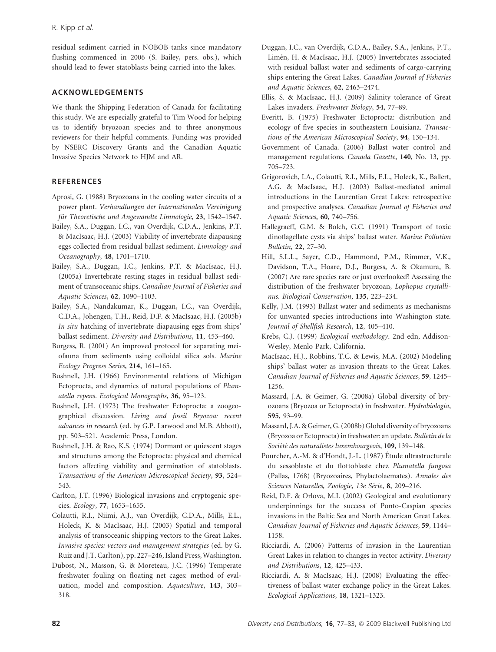residual sediment carried in NOBOB tanks since mandatory flushing commenced in 2006 (S. Bailey, pers. obs.), which should lead to fewer statoblasts being carried into the lakes.

## ACKNOWLEDGEMENTS

We thank the Shipping Federation of Canada for facilitating this study. We are especially grateful to Tim Wood for helping us to identify bryozoan species and to three anonymous reviewers for their helpful comments. Funding was provided by NSERC Discovery Grants and the Canadian Aquatic Invasive Species Network to HJM and AR.

# **REFERENCES**

- Aprosi, G. (1988) Bryozoans in the cooling water circuits of a power plant. Verhandlungen der Internationalen Vereinigung für Theoretische und Angewandte Limnologie, 23, 1542-1547.
- Bailey, S.A., Duggan, I.C., van Overdijk, C.D.A., Jenkins, P.T. & MacIsaac, H.J. (2003) Viability of invertebrate diapausing eggs collected from residual ballast sediment. Limnology and Oceanography, 48, 1701–1710.
- Bailey, S.A., Duggan, I.C., Jenkins, P.T. & MacIsaac, H.J. (2005a) Invertebrate resting stages in residual ballast sediment of transoceanic ships. Canadian Journal of Fisheries and Aquatic Sciences, 62, 1090–1103.
- Bailey, S.A., Nandakumar, K., Duggan, I.C., van Overdijk, C.D.A., Johengen, T.H., Reid, D.F. & MacIsaac, H.J. (2005b) In situ hatching of invertebrate diapausing eggs from ships' ballast sediment. Diversity and Distributions, 11, 453–460.
- Burgess, R. (2001) An improved protocol for separating meiofauna from sediments using colloidal silica sols. Marine Ecology Progress Series, 214, 161–165.
- Bushnell, J.H. (1966) Environmental relations of Michigan Ectoprocta, and dynamics of natural populations of Plumatella repens. Ecological Monographs, 36, 95–123.
- Bushnell, J.H. (1973) The freshwater Ectoprocta: a zoogeographical discussion. Living and fossil Bryozoa: recent advances in research (ed. by G.P. Larwood and M.B. Abbott), pp. 503–521. Academic Press, London.
- Bushnell, J.H. & Rao, K.S. (1974) Dormant or quiescent stages and structures among the Ectoprocta: physical and chemical factors affecting viability and germination of statoblasts. Transactions of the American Microscopical Society, 93, 524– 543.
- Carlton, J.T. (1996) Biological invasions and cryptogenic species. Ecology, 77, 1653–1655.
- Colautti, R.I., Niimi, A.J., van Overdijk, C.D.A., Mills, E.L., Holeck, K. & MacIsaac, H.J. (2003) Spatial and temporal analysis of transoceanic shipping vectors to the Great Lakes. Invasive species: vectors and management strategies (ed. by G. Ruiz and J.T. Carlton), pp. 227–246, Island Press, Washington.
- Dubost, N., Masson, G. & Moreteau, J.C. (1996) Temperate freshwater fouling on floating net cages: method of evaluation, model and composition. Aquaculture, 143, 303– 318.
- Duggan, I.C., van Overdijk, C.D.A., Bailey, S.A., Jenkins, P.T., Limén, H. & MacIsaac, H.J. (2005) Invertebrates associated with residual ballast water and sediments of cargo-carrying ships entering the Great Lakes. Canadian Journal of Fisheries and Aquatic Sciences, 62, 2463–2474.
- Ellis, S. & MacIsaac, H.J. (2009) Salinity tolerance of Great Lakes invaders. Freshwater Biology, 54, 77–89.
- Everitt, B. (1975) Freshwater Ectoprocta: distribution and ecology of five species in southeastern Louisiana. Transactions of the American Microscopical Society, 94, 130–134.
- Government of Canada. (2006) Ballast water control and management regulations. Canada Gazette, 140, No. 13, pp. 705–723.
- Grigorovich, I.A., Colautti, R.I., Mills, E.L., Holeck, K., Ballert, A.G. & MacIsaac, H.J. (2003) Ballast-mediated animal introductions in the Laurentian Great Lakes: retrospective and prospective analyses. Canadian Journal of Fisheries and Aquatic Sciences, 60, 740–756.
- Hallegraeff, G.M. & Bolch, G.C. (1991) Transport of toxic dinoflagellate cysts via ships' ballast water. Marine Pollution Bulletin, 22, 27–30.
- Hill, S.L.L., Sayer, C.D., Hammond, P.M., Rimmer, V.K., Davidson, T.A., Hoare, D.J., Burgess, A. & Okamura, B. (2007) Are rare species rare or just overlooked? Assessing the distribution of the freshwater bryozoan, Lophopus crystallinus. Biological Conservation, 135, 223–234.
- Kelly, J.M. (1993) Ballast water and sediments as mechanisms for unwanted species introductions into Washington state. Journal of Shellfish Research, 12, 405–410.
- Krebs, C.J. (1999) Ecological methodology. 2nd edn, Addison-Wesley, Menlo Park, California.
- MacIsaac, H.J., Robbins, T.C. & Lewis, M.A. (2002) Modeling ships' ballast water as invasion threats to the Great Lakes. Canadian Journal of Fisheries and Aquatic Sciences, 59, 1245– 1256.
- Massard, J.A. & Geimer, G. (2008a) Global diversity of bryozoans (Bryozoa or Ectoprocta) in freshwater. Hydrobiologia, 595, 93–99.
- Massard, J.A. & Geimer, G. (2008b) Global diversity of bryozoans (Bryozoa or Ectoprocta) infreshwater: an update. Bulletin de la Société des naturalistes luxembourgeois, 109, 139-148.
- Pourcher, A.-M. & d'Hondt, J.-L. (1987) Étude ultrastructurale du sessoblaste et du flottoblaste chez Plumatella fungosa (Pallas, 1768) (Bryozoaires, Phylactolaemates). Annales des Sciences Naturelles, Zoologie, 13e Série, 8, 209–216.
- Reid, D.F. & Orlova, M.I. (2002) Geological and evolutionary underpinnings for the success of Ponto-Caspian species invasions in the Baltic Sea and North American Great Lakes. Canadian Journal of Fisheries and Aquatic Sciences, 59, 1144– 1158.
- Ricciardi, A. (2006) Patterns of invasion in the Laurentian Great Lakes in relation to changes in vector activity. Diversity and Distributions, 12, 425–433.
- Ricciardi, A. & MacIsaac, H.J. (2008) Evaluating the effectiveness of ballast water exchange policy in the Great Lakes. Ecological Applications, 18, 1321–1323.